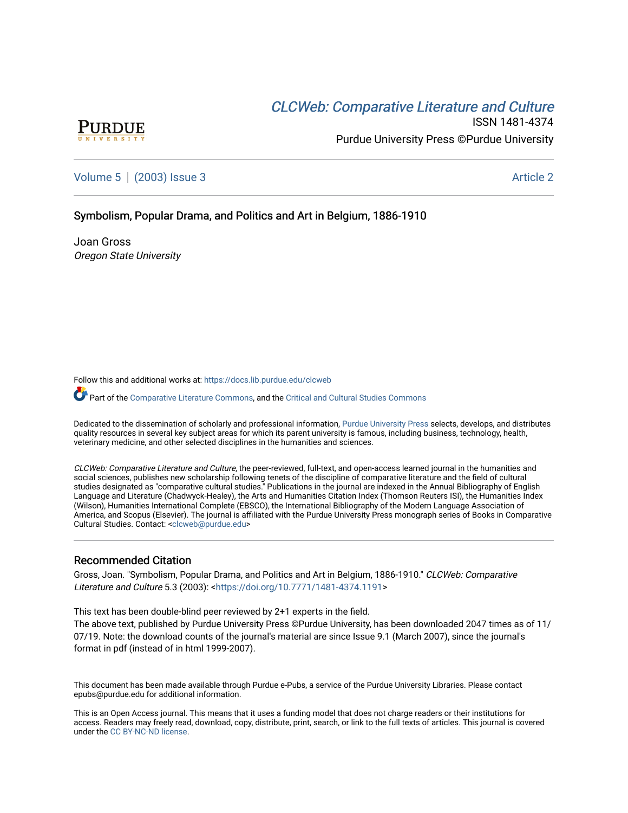# CLCW[eb: Comparative Liter](https://docs.lib.purdue.edu/clcweb)ature and Culture



ISSN 1481-4374 Purdue University Press ©Purdue University

[Volume 5](https://docs.lib.purdue.edu/clcweb/vol5) | [\(2003\) Issue 3](https://docs.lib.purdue.edu/clcweb/vol5/iss3) Article 2

# Symbolism, Popular Drama, and Politics and Art in Belgium, 1886-1910

Joan Gross Oregon State University

Follow this and additional works at: [https://docs.lib.purdue.edu/clcweb](https://docs.lib.purdue.edu/clcweb?utm_source=docs.lib.purdue.edu%2Fclcweb%2Fvol5%2Fiss3%2F2&utm_medium=PDF&utm_campaign=PDFCoverPages)

Part of the [Comparative Literature Commons,](http://network.bepress.com/hgg/discipline/454?utm_source=docs.lib.purdue.edu%2Fclcweb%2Fvol5%2Fiss3%2F2&utm_medium=PDF&utm_campaign=PDFCoverPages) and the Critical and Cultural Studies Commons

Dedicated to the dissemination of scholarly and professional information, [Purdue University Press](http://www.thepress.purdue.edu/) selects, develops, and distributes quality resources in several key subject areas for which its parent university is famous, including business, technology, health, veterinary medicine, and other selected disciplines in the humanities and sciences.

CLCWeb: Comparative Literature and Culture, the peer-reviewed, full-text, and open-access learned journal in the humanities and social sciences, publishes new scholarship following tenets of the discipline of comparative literature and the field of cultural studies designated as "comparative cultural studies." Publications in the journal are indexed in the Annual Bibliography of English Language and Literature (Chadwyck-Healey), the Arts and Humanities Citation Index (Thomson Reuters ISI), the Humanities Index (Wilson), Humanities International Complete (EBSCO), the International Bibliography of the Modern Language Association of America, and Scopus (Elsevier). The journal is affiliated with the Purdue University Press monograph series of Books in Comparative Cultural Studies. Contact: [<clcweb@purdue.edu](mailto:clcweb@purdue.edu)>

## Recommended Citation

Gross, Joan. "Symbolism, Popular Drama, and Politics and Art in Belgium, 1886-1910." CLCWeb: Comparative Literature and Culture 5.3 (2003): [<https://doi.org/10.7771/1481-4374.1191](https://doi.org/10.7771/1481-4374.1191)>

This text has been double-blind peer reviewed by 2+1 experts in the field.

The above text, published by Purdue University Press ©Purdue University, has been downloaded 2047 times as of 11/ 07/19. Note: the download counts of the journal's material are since Issue 9.1 (March 2007), since the journal's format in pdf (instead of in html 1999-2007).

This document has been made available through Purdue e-Pubs, a service of the Purdue University Libraries. Please contact epubs@purdue.edu for additional information.

This is an Open Access journal. This means that it uses a funding model that does not charge readers or their institutions for access. Readers may freely read, download, copy, distribute, print, search, or link to the full texts of articles. This journal is covered under the [CC BY-NC-ND license.](https://creativecommons.org/licenses/by-nc-nd/4.0/)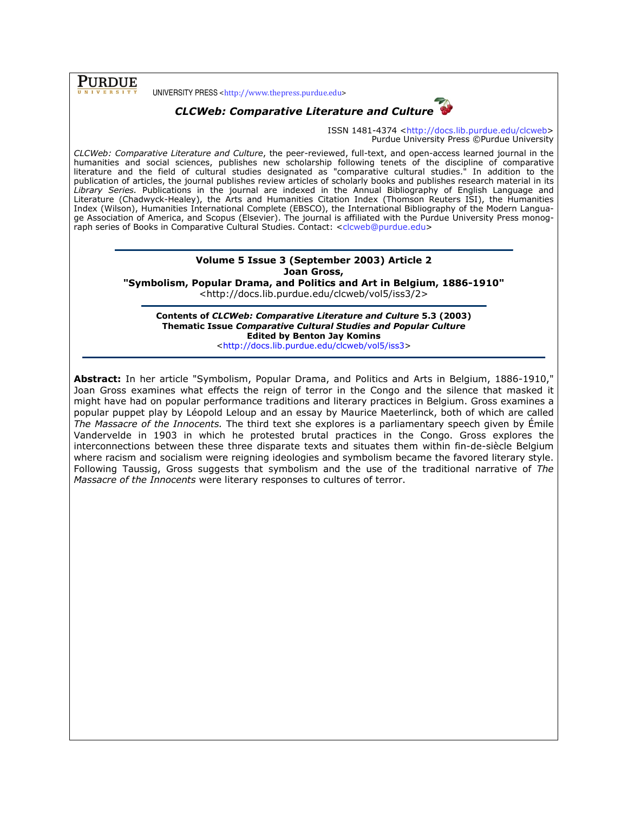**PURDUE** 

UNIVERSITY PRESS <http://www.thepress.purdue.edu>



# CLCWeb: Comparative Literature and Culture

ISSN 1481-4374 <http://docs.lib.purdue.edu/clcweb> Purdue University Press ©Purdue University

CLCWeb: Comparative Literature and Culture, the peer-reviewed, full-text, and open-access learned journal in the humanities and social sciences, publishes new scholarship following tenets of the discipline of comparative literature and the field of cultural studies designated as "comparative cultural studies." In addition to the publication of articles, the journal publishes review articles of scholarly books and publishes research material in its Library Series. Publications in the journal are indexed in the Annual Bibliography of English Language and Literature (Chadwyck-Healey), the Arts and Humanities Citation Index (Thomson Reuters ISI), the Humanities Index (Wilson), Humanities International Complete (EBSCO), the International Bibliography of the Modern Language Association of America, and Scopus (Elsevier). The journal is affiliated with the Purdue University Press monograph series of Books in Comparative Cultural Studies. Contact: <clcweb@purdue.edu>

# Volume 5 Issue 3 (September 2003) Article 2 Joan Gross,

"Symbolism, Popular Drama, and Politics and Art in Belgium, 1886-1910"

<http://docs.lib.purdue.edu/clcweb/vol5/iss3/2>

Contents of CLCWeb: Comparative Literature and Culture 5.3 (2003) Thematic Issue Comparative Cultural Studies and Popular Culture Edited by Benton Jay Komins

<http://docs.lib.purdue.edu/clcweb/vol5/iss3>

Abstract: In her article "Symbolism, Popular Drama, and Politics and Arts in Belgium, 1886-1910," Joan Gross examines what effects the reign of terror in the Congo and the silence that masked it might have had on popular performance traditions and literary practices in Belgium. Gross examines a popular puppet play by Léopold Leloup and an essay by Maurice Maeterlinck, both of which are called The Massacre of the Innocents. The third text she explores is a parliamentary speech given by Émile Vandervelde in 1903 in which he protested brutal practices in the Congo. Gross explores the interconnections between these three disparate texts and situates them within fin-de-siècle Belgium where racism and socialism were reigning ideologies and symbolism became the favored literary style. Following Taussig, Gross suggests that symbolism and the use of the traditional narrative of The Massacre of the Innocents were literary responses to cultures of terror.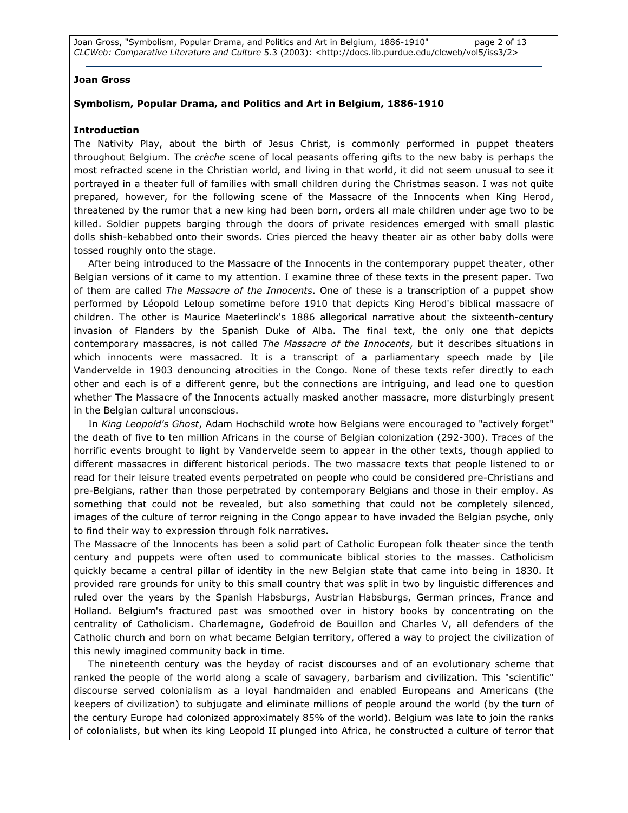Joan Gross, "Symbolism, Popular Drama, and Politics and Art in Belgium, 1886-1910" page 2 of 13 CLCWeb: Comparative Literature and Culture 5.3 (2003): <http://docs.lib.purdue.edu/clcweb/vol5/iss3/2>

#### Joan Gross

# Symbolism, Popular Drama, and Politics and Art in Belgium, 1886-1910

#### Introduction

The Nativity Play, about the birth of Jesus Christ, is commonly performed in puppet theaters throughout Belgium. The crèche scene of local peasants offering gifts to the new baby is perhaps the most refracted scene in the Christian world, and living in that world, it did not seem unusual to see it portrayed in a theater full of families with small children during the Christmas season. I was not quite prepared, however, for the following scene of the Massacre of the Innocents when King Herod, threatened by the rumor that a new king had been born, orders all male children under age two to be killed. Soldier puppets barging through the doors of private residences emerged with small plastic dolls shish-kebabbed onto their swords. Cries pierced the heavy theater air as other baby dolls were tossed roughly onto the stage.

After being introduced to the Massacre of the Innocents in the contemporary puppet theater, other Belgian versions of it came to my attention. I examine three of these texts in the present paper. Two of them are called The Massacre of the Innocents. One of these is a transcription of a puppet show performed by Léopold Leloup sometime before 1910 that depicts King Herod's biblical massacre of children. The other is Maurice Maeterlinck's 1886 allegorical narrative about the sixteenth-century invasion of Flanders by the Spanish Duke of Alba. The final text, the only one that depicts contemporary massacres, is not called The Massacre of the Innocents, but it describes situations in which innocents were massacred. It is a transcript of a parliamentary speech made by [ile Vandervelde in 1903 denouncing atrocities in the Congo. None of these texts refer directly to each other and each is of a different genre, but the connections are intriguing, and lead one to question whether The Massacre of the Innocents actually masked another massacre, more disturbingly present in the Belgian cultural unconscious.

In King Leopold's Ghost, Adam Hochschild wrote how Belgians were encouraged to "actively forget" the death of five to ten million Africans in the course of Belgian colonization (292-300). Traces of the horrific events brought to light by Vandervelde seem to appear in the other texts, though applied to different massacres in different historical periods. The two massacre texts that people listened to or read for their leisure treated events perpetrated on people who could be considered pre-Christians and pre-Belgians, rather than those perpetrated by contemporary Belgians and those in their employ. As something that could not be revealed, but also something that could not be completely silenced, images of the culture of terror reigning in the Congo appear to have invaded the Belgian psyche, only to find their way to expression through folk narratives.

The Massacre of the Innocents has been a solid part of Catholic European folk theater since the tenth century and puppets were often used to communicate biblical stories to the masses. Catholicism quickly became a central pillar of identity in the new Belgian state that came into being in 1830. It provided rare grounds for unity to this small country that was split in two by linguistic differences and ruled over the years by the Spanish Habsburgs, Austrian Habsburgs, German princes, France and Holland. Belgium's fractured past was smoothed over in history books by concentrating on the centrality of Catholicism. Charlemagne, Godefroid de Bouillon and Charles V, all defenders of the Catholic church and born on what became Belgian territory, offered a way to project the civilization of this newly imagined community back in time.

The nineteenth century was the heyday of racist discourses and of an evolutionary scheme that ranked the people of the world along a scale of savagery, barbarism and civilization. This "scientific" discourse served colonialism as a loyal handmaiden and enabled Europeans and Americans (the keepers of civilization) to subjugate and eliminate millions of people around the world (by the turn of the century Europe had colonized approximately 85% of the world). Belgium was late to join the ranks of colonialists, but when its king Leopold II plunged into Africa, he constructed a culture of terror that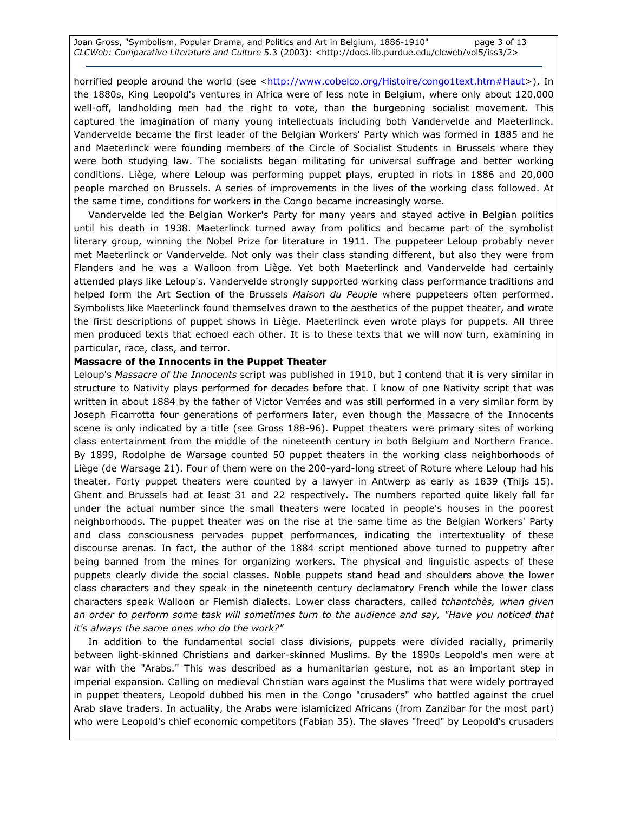Joan Gross, "Symbolism, Popular Drama, and Politics and Art in Belgium, 1886-1910" page 3 of 13 CLCWeb: Comparative Literature and Culture 5.3 (2003): <http://docs.lib.purdue.edu/clcweb/vol5/iss3/2>

horrified people around the world (see <http://www.cobelco.org/Histoire/congo1text.htm#Haut>). In the 1880s, King Leopold's ventures in Africa were of less note in Belgium, where only about 120,000 well-off, landholding men had the right to vote, than the burgeoning socialist movement. This captured the imagination of many young intellectuals including both Vandervelde and Maeterlinck. Vandervelde became the first leader of the Belgian Workers' Party which was formed in 1885 and he and Maeterlinck were founding members of the Circle of Socialist Students in Brussels where they were both studying law. The socialists began militating for universal suffrage and better working conditions. Liège, where Leloup was performing puppet plays, erupted in riots in 1886 and 20,000 people marched on Brussels. A series of improvements in the lives of the working class followed. At the same time, conditions for workers in the Congo became increasingly worse.

Vandervelde led the Belgian Worker's Party for many years and stayed active in Belgian politics until his death in 1938. Maeterlinck turned away from politics and became part of the symbolist literary group, winning the Nobel Prize for literature in 1911. The puppeteer Leloup probably never met Maeterlinck or Vandervelde. Not only was their class standing different, but also they were from Flanders and he was a Walloon from Liège. Yet both Maeterlinck and Vandervelde had certainly attended plays like Leloup's. Vandervelde strongly supported working class performance traditions and helped form the Art Section of the Brussels Maison du Peuple where puppeteers often performed. Symbolists like Maeterlinck found themselves drawn to the aesthetics of the puppet theater, and wrote the first descriptions of puppet shows in Liège. Maeterlinck even wrote plays for puppets. All three men produced texts that echoed each other. It is to these texts that we will now turn, examining in particular, race, class, and terror.

### Massacre of the Innocents in the Puppet Theater

Leloup's Massacre of the Innocents script was published in 1910, but I contend that it is very similar in structure to Nativity plays performed for decades before that. I know of one Nativity script that was written in about 1884 by the father of Victor Verrées and was still performed in a very similar form by Joseph Ficarrotta four generations of performers later, even though the Massacre of the Innocents scene is only indicated by a title (see Gross 188-96). Puppet theaters were primary sites of working class entertainment from the middle of the nineteenth century in both Belgium and Northern France. By 1899, Rodolphe de Warsage counted 50 puppet theaters in the working class neighborhoods of Liège (de Warsage 21). Four of them were on the 200-yard-long street of Roture where Leloup had his theater. Forty puppet theaters were counted by a lawyer in Antwerp as early as 1839 (Thijs 15). Ghent and Brussels had at least 31 and 22 respectively. The numbers reported quite likely fall far under the actual number since the small theaters were located in people's houses in the poorest neighborhoods. The puppet theater was on the rise at the same time as the Belgian Workers' Party and class consciousness pervades puppet performances, indicating the intertextuality of these discourse arenas. In fact, the author of the 1884 script mentioned above turned to puppetry after being banned from the mines for organizing workers. The physical and linguistic aspects of these puppets clearly divide the social classes. Noble puppets stand head and shoulders above the lower class characters and they speak in the nineteenth century declamatory French while the lower class characters speak Walloon or Flemish dialects. Lower class characters, called tchantchès, when given an order to perform some task will sometimes turn to the audience and say, "Have you noticed that it's always the same ones who do the work?"

In addition to the fundamental social class divisions, puppets were divided racially, primarily between light-skinned Christians and darker-skinned Muslims. By the 1890s Leopold's men were at war with the "Arabs." This was described as a humanitarian gesture, not as an important step in imperial expansion. Calling on medieval Christian wars against the Muslims that were widely portrayed in puppet theaters, Leopold dubbed his men in the Congo "crusaders" who battled against the cruel Arab slave traders. In actuality, the Arabs were islamicized Africans (from Zanzibar for the most part) who were Leopold's chief economic competitors (Fabian 35). The slaves "freed" by Leopold's crusaders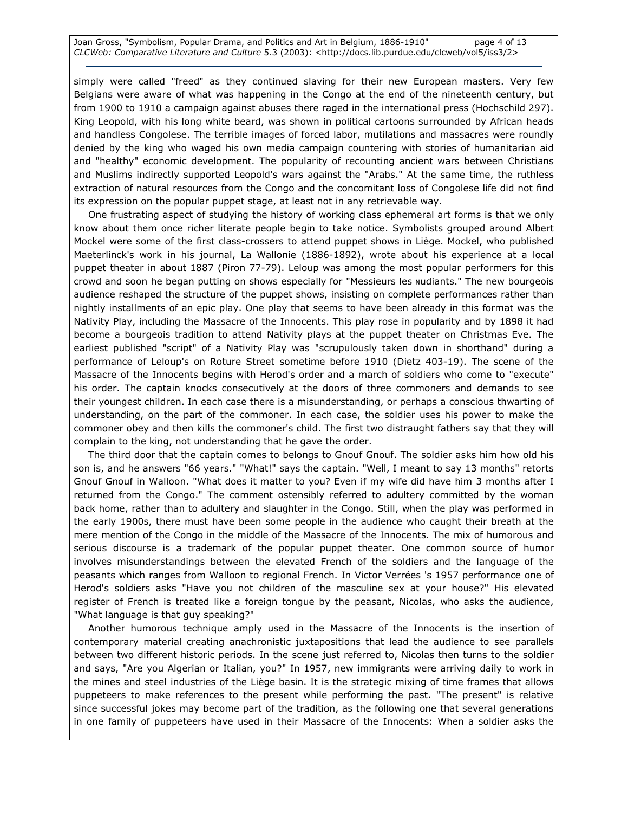Joan Gross, "Symbolism, Popular Drama, and Politics and Art in Belgium, 1886-1910" page 4 of 13 CLCWeb: Comparative Literature and Culture 5.3 (2003): <http://docs.lib.purdue.edu/clcweb/vol5/iss3/2>

simply were called "freed" as they continued slaving for their new European masters. Very few Belgians were aware of what was happening in the Congo at the end of the nineteenth century, but from 1900 to 1910 a campaign against abuses there raged in the international press (Hochschild 297). King Leopold, with his long white beard, was shown in political cartoons surrounded by African heads and handless Congolese. The terrible images of forced labor, mutilations and massacres were roundly denied by the king who waged his own media campaign countering with stories of humanitarian aid and "healthy" economic development. The popularity of recounting ancient wars between Christians and Muslims indirectly supported Leopold's wars against the "Arabs." At the same time, the ruthless extraction of natural resources from the Congo and the concomitant loss of Congolese life did not find its expression on the popular puppet stage, at least not in any retrievable way.

One frustrating aspect of studying the history of working class ephemeral art forms is that we only know about them once richer literate people begin to take notice. Symbolists grouped around Albert Mockel were some of the first class-crossers to attend puppet shows in Liège. Mockel, who published Maeterlinck's work in his journal, La Wallonie (1886-1892), wrote about his experience at a local puppet theater in about 1887 (Piron 77-79). Leloup was among the most popular performers for this crowd and soon he began putting on shows especially for "Messieurs les ɴudiants." The new bourgeois audience reshaped the structure of the puppet shows, insisting on complete performances rather than nightly installments of an epic play. One play that seems to have been already in this format was the Nativity Play, including the Massacre of the Innocents. This play rose in popularity and by 1898 it had become a bourgeois tradition to attend Nativity plays at the puppet theater on Christmas Eve. The earliest published "script" of a Nativity Play was "scrupulously taken down in shorthand" during a performance of Leloup's on Roture Street sometime before 1910 (Dietz 403-19). The scene of the Massacre of the Innocents begins with Herod's order and a march of soldiers who come to "execute" his order. The captain knocks consecutively at the doors of three commoners and demands to see their youngest children. In each case there is a misunderstanding, or perhaps a conscious thwarting of understanding, on the part of the commoner. In each case, the soldier uses his power to make the commoner obey and then kills the commoner's child. The first two distraught fathers say that they will complain to the king, not understanding that he gave the order.

The third door that the captain comes to belongs to Gnouf Gnouf. The soldier asks him how old his son is, and he answers "66 years." "What!" says the captain. "Well, I meant to say 13 months" retorts Gnouf Gnouf in Walloon. "What does it matter to you? Even if my wife did have him 3 months after I returned from the Congo." The comment ostensibly referred to adultery committed by the woman back home, rather than to adultery and slaughter in the Congo. Still, when the play was performed in the early 1900s, there must have been some people in the audience who caught their breath at the mere mention of the Congo in the middle of the Massacre of the Innocents. The mix of humorous and serious discourse is a trademark of the popular puppet theater. One common source of humor involves misunderstandings between the elevated French of the soldiers and the language of the peasants which ranges from Walloon to regional French. In Victor Verrées 's 1957 performance one of Herod's soldiers asks "Have you not children of the masculine sex at your house?" His elevated register of French is treated like a foreign tongue by the peasant, Nicolas, who asks the audience, "What language is that guy speaking?"

Another humorous technique amply used in the Massacre of the Innocents is the insertion of contemporary material creating anachronistic juxtapositions that lead the audience to see parallels between two different historic periods. In the scene just referred to, Nicolas then turns to the soldier and says, "Are you Algerian or Italian, you?" In 1957, new immigrants were arriving daily to work in the mines and steel industries of the Liège basin. It is the strategic mixing of time frames that allows puppeteers to make references to the present while performing the past. "The present" is relative since successful jokes may become part of the tradition, as the following one that several generations in one family of puppeteers have used in their Massacre of the Innocents: When a soldier asks the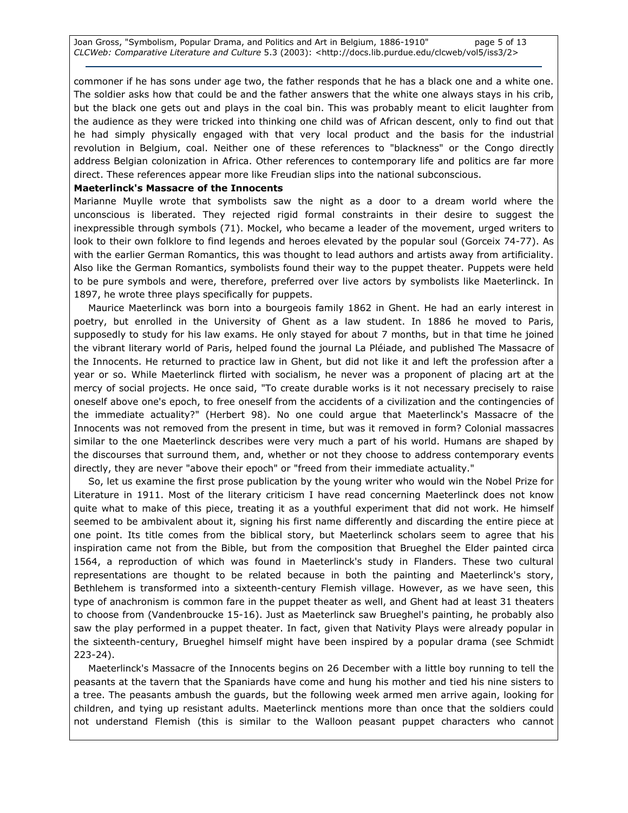commoner if he has sons under age two, the father responds that he has a black one and a white one. The soldier asks how that could be and the father answers that the white one always stays in his crib, but the black one gets out and plays in the coal bin. This was probably meant to elicit laughter from the audience as they were tricked into thinking one child was of African descent, only to find out that he had simply physically engaged with that very local product and the basis for the industrial revolution in Belgium, coal. Neither one of these references to "blackness" or the Congo directly address Belgian colonization in Africa. Other references to contemporary life and politics are far more direct. These references appear more like Freudian slips into the national subconscious.

### Maeterlinck's Massacre of the Innocents

Marianne Muylle wrote that symbolists saw the night as a door to a dream world where the unconscious is liberated. They rejected rigid formal constraints in their desire to suggest the inexpressible through symbols (71). Mockel, who became a leader of the movement, urged writers to look to their own folklore to find legends and heroes elevated by the popular soul (Gorceix 74-77). As with the earlier German Romantics, this was thought to lead authors and artists away from artificiality. Also like the German Romantics, symbolists found their way to the puppet theater. Puppets were held to be pure symbols and were, therefore, preferred over live actors by symbolists like Maeterlinck. In 1897, he wrote three plays specifically for puppets.

Maurice Maeterlinck was born into a bourgeois family 1862 in Ghent. He had an early interest in poetry, but enrolled in the University of Ghent as a law student. In 1886 he moved to Paris, supposedly to study for his law exams. He only stayed for about 7 months, but in that time he joined the vibrant literary world of Paris, helped found the journal La Pléiade, and published The Massacre of the Innocents. He returned to practice law in Ghent, but did not like it and left the profession after a year or so. While Maeterlinck flirted with socialism, he never was a proponent of placing art at the mercy of social projects. He once said, "To create durable works is it not necessary precisely to raise oneself above one's epoch, to free oneself from the accidents of a civilization and the contingencies of the immediate actuality?" (Herbert 98). No one could argue that Maeterlinck's Massacre of the Innocents was not removed from the present in time, but was it removed in form? Colonial massacres similar to the one Maeterlinck describes were very much a part of his world. Humans are shaped by the discourses that surround them, and, whether or not they choose to address contemporary events directly, they are never "above their epoch" or "freed from their immediate actuality."

So, let us examine the first prose publication by the young writer who would win the Nobel Prize for Literature in 1911. Most of the literary criticism I have read concerning Maeterlinck does not know quite what to make of this piece, treating it as a youthful experiment that did not work. He himself seemed to be ambivalent about it, signing his first name differently and discarding the entire piece at one point. Its title comes from the biblical story, but Maeterlinck scholars seem to agree that his inspiration came not from the Bible, but from the composition that Brueghel the Elder painted circa 1564, a reproduction of which was found in Maeterlinck's study in Flanders. These two cultural representations are thought to be related because in both the painting and Maeterlinck's story, Bethlehem is transformed into a sixteenth-century Flemish village. However, as we have seen, this type of anachronism is common fare in the puppet theater as well, and Ghent had at least 31 theaters to choose from (Vandenbroucke 15-16). Just as Maeterlinck saw Brueghel's painting, he probably also saw the play performed in a puppet theater. In fact, given that Nativity Plays were already popular in the sixteenth-century, Brueghel himself might have been inspired by a popular drama (see Schmidt 223-24).

Maeterlinck's Massacre of the Innocents begins on 26 December with a little boy running to tell the peasants at the tavern that the Spaniards have come and hung his mother and tied his nine sisters to a tree. The peasants ambush the guards, but the following week armed men arrive again, looking for children, and tying up resistant adults. Maeterlinck mentions more than once that the soldiers could not understand Flemish (this is similar to the Walloon peasant puppet characters who cannot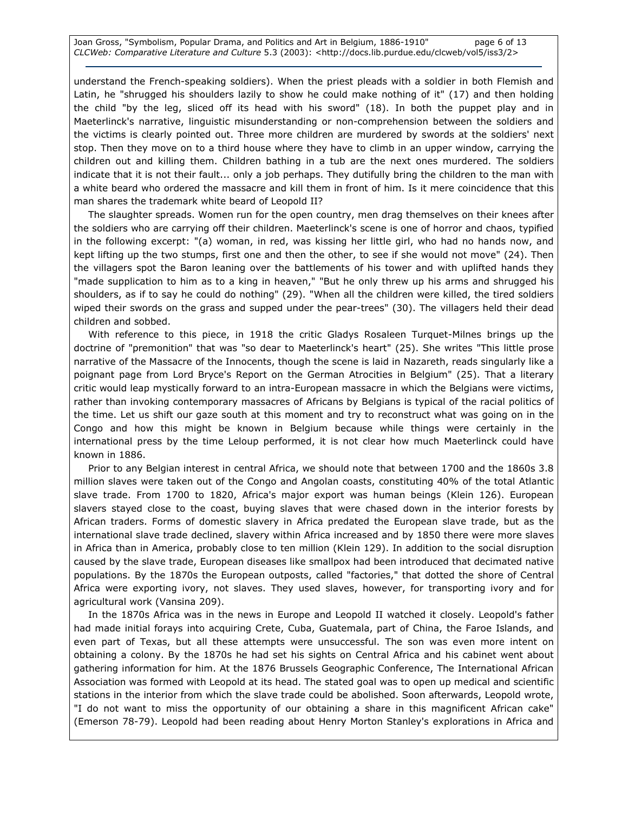Joan Gross, "Symbolism, Popular Drama, and Politics and Art in Belgium, 1886-1910" page 6 of 13 CLCWeb: Comparative Literature and Culture 5.3 (2003): <http://docs.lib.purdue.edu/clcweb/vol5/iss3/2>

understand the French-speaking soldiers). When the priest pleads with a soldier in both Flemish and Latin, he "shrugged his shoulders lazily to show he could make nothing of it" (17) and then holding the child "by the leg, sliced off its head with his sword" (18). In both the puppet play and in Maeterlinck's narrative, linguistic misunderstanding or non-comprehension between the soldiers and the victims is clearly pointed out. Three more children are murdered by swords at the soldiers' next stop. Then they move on to a third house where they have to climb in an upper window, carrying the children out and killing them. Children bathing in a tub are the next ones murdered. The soldiers indicate that it is not their fault... only a job perhaps. They dutifully bring the children to the man with a white beard who ordered the massacre and kill them in front of him. Is it mere coincidence that this man shares the trademark white beard of Leopold II?

The slaughter spreads. Women run for the open country, men drag themselves on their knees after the soldiers who are carrying off their children. Maeterlinck's scene is one of horror and chaos, typified in the following excerpt: "(a) woman, in red, was kissing her little girl, who had no hands now, and kept lifting up the two stumps, first one and then the other, to see if she would not move" (24). Then the villagers spot the Baron leaning over the battlements of his tower and with uplifted hands they "made supplication to him as to a king in heaven," "But he only threw up his arms and shrugged his shoulders, as if to say he could do nothing" (29). "When all the children were killed, the tired soldiers wiped their swords on the grass and supped under the pear-trees" (30). The villagers held their dead children and sobbed.

With reference to this piece, in 1918 the critic Gladys Rosaleen Turquet-Milnes brings up the doctrine of "premonition" that was "so dear to Maeterlinck's heart" (25). She writes "This little prose narrative of the Massacre of the Innocents, though the scene is laid in Nazareth, reads singularly like a poignant page from Lord Bryce's Report on the German Atrocities in Belgium" (25). That a literary critic would leap mystically forward to an intra-European massacre in which the Belgians were victims, rather than invoking contemporary massacres of Africans by Belgians is typical of the racial politics of the time. Let us shift our gaze south at this moment and try to reconstruct what was going on in the Congo and how this might be known in Belgium because while things were certainly in the international press by the time Leloup performed, it is not clear how much Maeterlinck could have known in 1886.

Prior to any Belgian interest in central Africa, we should note that between 1700 and the 1860s 3.8 million slaves were taken out of the Congo and Angolan coasts, constituting 40% of the total Atlantic slave trade. From 1700 to 1820, Africa's major export was human beings (Klein 126). European slavers stayed close to the coast, buying slaves that were chased down in the interior forests by African traders. Forms of domestic slavery in Africa predated the European slave trade, but as the international slave trade declined, slavery within Africa increased and by 1850 there were more slaves in Africa than in America, probably close to ten million (Klein 129). In addition to the social disruption caused by the slave trade, European diseases like smallpox had been introduced that decimated native populations. By the 1870s the European outposts, called "factories," that dotted the shore of Central Africa were exporting ivory, not slaves. They used slaves, however, for transporting ivory and for agricultural work (Vansina 209).

In the 1870s Africa was in the news in Europe and Leopold II watched it closely. Leopold's father had made initial forays into acquiring Crete, Cuba, Guatemala, part of China, the Faroe Islands, and even part of Texas, but all these attempts were unsuccessful. The son was even more intent on obtaining a colony. By the 1870s he had set his sights on Central Africa and his cabinet went about gathering information for him. At the 1876 Brussels Geographic Conference, The International African Association was formed with Leopold at its head. The stated goal was to open up medical and scientific stations in the interior from which the slave trade could be abolished. Soon afterwards, Leopold wrote, "I do not want to miss the opportunity of our obtaining a share in this magnificent African cake" (Emerson 78-79). Leopold had been reading about Henry Morton Stanley's explorations in Africa and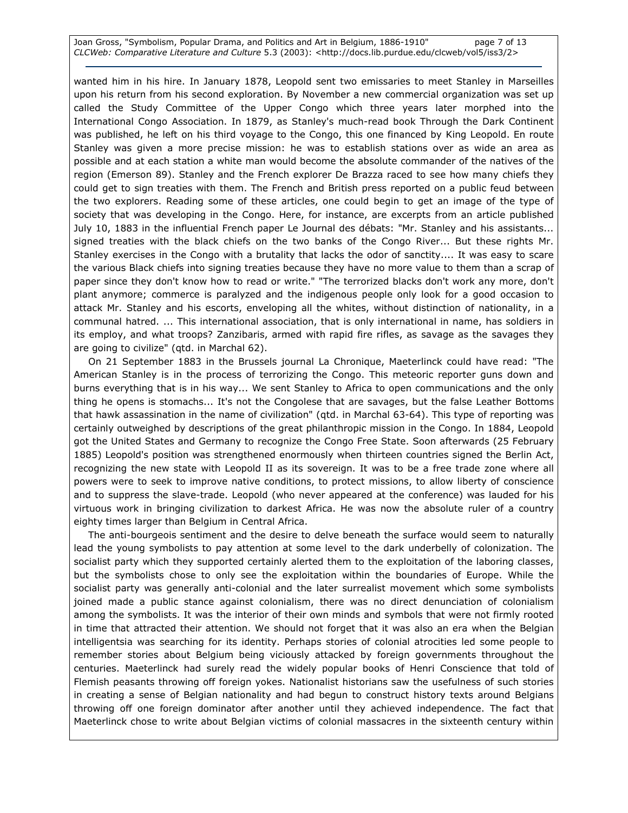Joan Gross, "Symbolism, Popular Drama, and Politics and Art in Belgium, 1886-1910" page 7 of 13 CLCWeb: Comparative Literature and Culture 5.3 (2003): <http://docs.lib.purdue.edu/clcweb/vol5/iss3/2>

wanted him in his hire. In January 1878, Leopold sent two emissaries to meet Stanley in Marseilles upon his return from his second exploration. By November a new commercial organization was set up called the Study Committee of the Upper Congo which three years later morphed into the International Congo Association. In 1879, as Stanley's much-read book Through the Dark Continent was published, he left on his third voyage to the Congo, this one financed by King Leopold. En route Stanley was given a more precise mission: he was to establish stations over as wide an area as possible and at each station a white man would become the absolute commander of the natives of the region (Emerson 89). Stanley and the French explorer De Brazza raced to see how many chiefs they could get to sign treaties with them. The French and British press reported on a public feud between the two explorers. Reading some of these articles, one could begin to get an image of the type of society that was developing in the Congo. Here, for instance, are excerpts from an article published July 10, 1883 in the influential French paper Le Journal des débats: "Mr. Stanley and his assistants... signed treaties with the black chiefs on the two banks of the Congo River... But these rights Mr. Stanley exercises in the Congo with a brutality that lacks the odor of sanctity.... It was easy to scare the various Black chiefs into signing treaties because they have no more value to them than a scrap of paper since they don't know how to read or write." "The terrorized blacks don't work any more, don't plant anymore; commerce is paralyzed and the indigenous people only look for a good occasion to attack Mr. Stanley and his escorts, enveloping all the whites, without distinction of nationality, in a communal hatred. ... This international association, that is only international in name, has soldiers in its employ, and what troops? Zanzibaris, armed with rapid fire rifles, as savage as the savages they are going to civilize" (qtd. in Marchal 62).

On 21 September 1883 in the Brussels journal La Chronique, Maeterlinck could have read: "The American Stanley is in the process of terrorizing the Congo. This meteoric reporter guns down and burns everything that is in his way... We sent Stanley to Africa to open communications and the only thing he opens is stomachs... It's not the Congolese that are savages, but the false Leather Bottoms that hawk assassination in the name of civilization" (qtd. in Marchal 63-64). This type of reporting was certainly outweighed by descriptions of the great philanthropic mission in the Congo. In 1884, Leopold got the United States and Germany to recognize the Congo Free State. Soon afterwards (25 February 1885) Leopold's position was strengthened enormously when thirteen countries signed the Berlin Act, recognizing the new state with Leopold II as its sovereign. It was to be a free trade zone where all powers were to seek to improve native conditions, to protect missions, to allow liberty of conscience and to suppress the slave-trade. Leopold (who never appeared at the conference) was lauded for his virtuous work in bringing civilization to darkest Africa. He was now the absolute ruler of a country eighty times larger than Belgium in Central Africa.

The anti-bourgeois sentiment and the desire to delve beneath the surface would seem to naturally lead the young symbolists to pay attention at some level to the dark underbelly of colonization. The socialist party which they supported certainly alerted them to the exploitation of the laboring classes, but the symbolists chose to only see the exploitation within the boundaries of Europe. While the socialist party was generally anti-colonial and the later surrealist movement which some symbolists joined made a public stance against colonialism, there was no direct denunciation of colonialism among the symbolists. It was the interior of their own minds and symbols that were not firmly rooted in time that attracted their attention. We should not forget that it was also an era when the Belgian intelligentsia was searching for its identity. Perhaps stories of colonial atrocities led some people to remember stories about Belgium being viciously attacked by foreign governments throughout the centuries. Maeterlinck had surely read the widely popular books of Henri Conscience that told of Flemish peasants throwing off foreign yokes. Nationalist historians saw the usefulness of such stories in creating a sense of Belgian nationality and had begun to construct history texts around Belgians throwing off one foreign dominator after another until they achieved independence. The fact that Maeterlinck chose to write about Belgian victims of colonial massacres in the sixteenth century within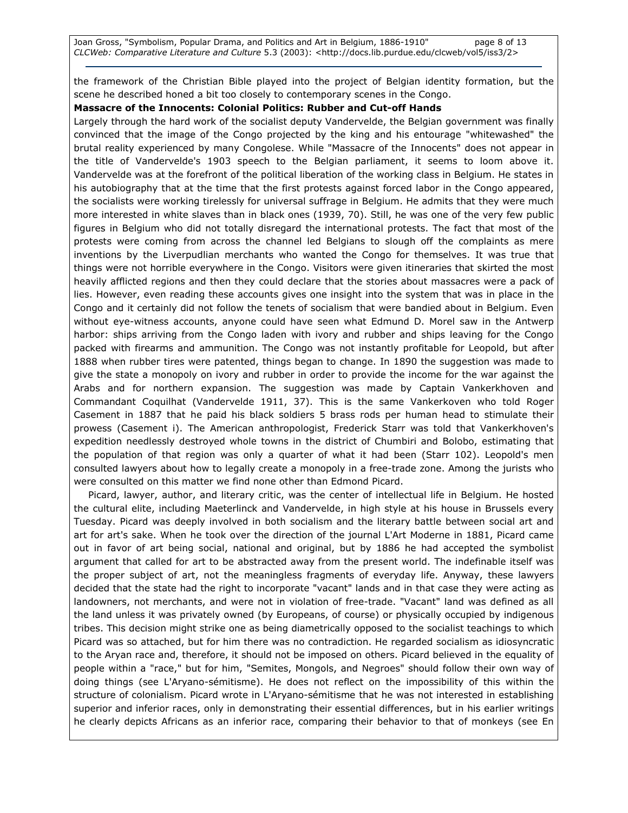Joan Gross, "Symbolism, Popular Drama, and Politics and Art in Belgium, 1886-1910" page 8 of 13 CLCWeb: Comparative Literature and Culture 5.3 (2003): <http://docs.lib.purdue.edu/clcweb/vol5/iss3/2>

the framework of the Christian Bible played into the project of Belgian identity formation, but the scene he described honed a bit too closely to contemporary scenes in the Congo.

### Massacre of the Innocents: Colonial Politics: Rubber and Cut-off Hands

Largely through the hard work of the socialist deputy Vandervelde, the Belgian government was finally convinced that the image of the Congo projected by the king and his entourage "whitewashed" the brutal reality experienced by many Congolese. While "Massacre of the Innocents" does not appear in the title of Vandervelde's 1903 speech to the Belgian parliament, it seems to loom above it. Vandervelde was at the forefront of the political liberation of the working class in Belgium. He states in his autobiography that at the time that the first protests against forced labor in the Congo appeared, the socialists were working tirelessly for universal suffrage in Belgium. He admits that they were much more interested in white slaves than in black ones (1939, 70). Still, he was one of the very few public figures in Belgium who did not totally disregard the international protests. The fact that most of the protests were coming from across the channel led Belgians to slough off the complaints as mere inventions by the Liverpudlian merchants who wanted the Congo for themselves. It was true that things were not horrible everywhere in the Congo. Visitors were given itineraries that skirted the most heavily afflicted regions and then they could declare that the stories about massacres were a pack of lies. However, even reading these accounts gives one insight into the system that was in place in the Congo and it certainly did not follow the tenets of socialism that were bandied about in Belgium. Even without eye-witness accounts, anyone could have seen what Edmund D. Morel saw in the Antwerp harbor: ships arriving from the Congo laden with ivory and rubber and ships leaving for the Congo packed with firearms and ammunition. The Congo was not instantly profitable for Leopold, but after 1888 when rubber tires were patented, things began to change. In 1890 the suggestion was made to give the state a monopoly on ivory and rubber in order to provide the income for the war against the Arabs and for northern expansion. The suggestion was made by Captain Vankerkhoven and Commandant Coquilhat (Vandervelde 1911, 37). This is the same Vankerkoven who told Roger Casement in 1887 that he paid his black soldiers 5 brass rods per human head to stimulate their prowess (Casement i). The American anthropologist, Frederick Starr was told that Vankerkhoven's expedition needlessly destroyed whole towns in the district of Chumbiri and Bolobo, estimating that the population of that region was only a quarter of what it had been (Starr 102). Leopold's men consulted lawyers about how to legally create a monopoly in a free-trade zone. Among the jurists who were consulted on this matter we find none other than Edmond Picard.

Picard, lawyer, author, and literary critic, was the center of intellectual life in Belgium. He hosted the cultural elite, including Maeterlinck and Vandervelde, in high style at his house in Brussels every Tuesday. Picard was deeply involved in both socialism and the literary battle between social art and art for art's sake. When he took over the direction of the journal L'Art Moderne in 1881, Picard came out in favor of art being social, national and original, but by 1886 he had accepted the symbolist argument that called for art to be abstracted away from the present world. The indefinable itself was the proper subject of art, not the meaningless fragments of everyday life. Anyway, these lawyers decided that the state had the right to incorporate "vacant" lands and in that case they were acting as landowners, not merchants, and were not in violation of free-trade. "Vacant" land was defined as all the land unless it was privately owned (by Europeans, of course) or physically occupied by indigenous tribes. This decision might strike one as being diametrically opposed to the socialist teachings to which Picard was so attached, but for him there was no contradiction. He regarded socialism as idiosyncratic to the Aryan race and, therefore, it should not be imposed on others. Picard believed in the equality of people within a "race," but for him, "Semites, Mongols, and Negroes" should follow their own way of doing things (see L'Aryano-sémitisme). He does not reflect on the impossibility of this within the structure of colonialism. Picard wrote in L'Aryano-sémitisme that he was not interested in establishing superior and inferior races, only in demonstrating their essential differences, but in his earlier writings he clearly depicts Africans as an inferior race, comparing their behavior to that of monkeys (see En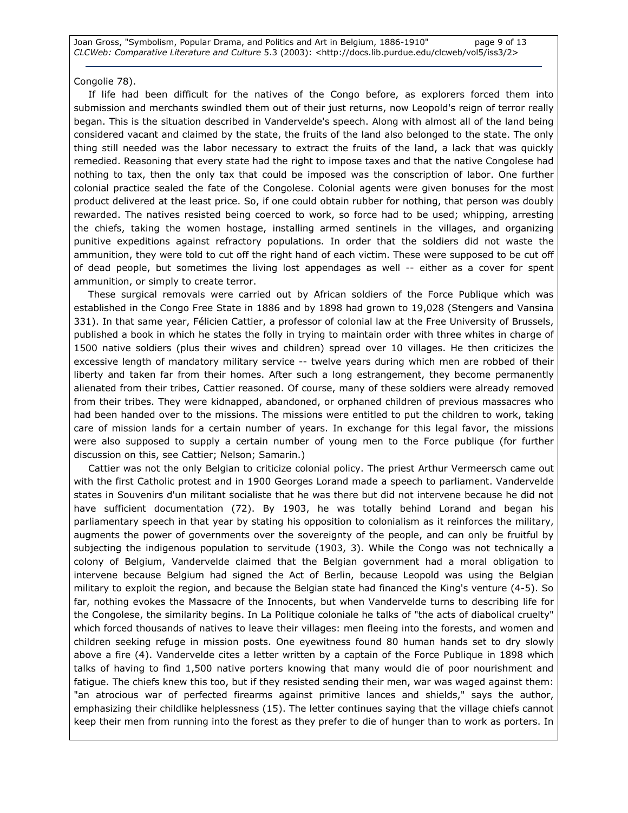Joan Gross, "Symbolism, Popular Drama, and Politics and Art in Belgium, 1886-1910" page 9 of 13 CLCWeb: Comparative Literature and Culture 5.3 (2003): <http://docs.lib.purdue.edu/clcweb/vol5/iss3/2>

### Congolie 78).

If life had been difficult for the natives of the Congo before, as explorers forced them into submission and merchants swindled them out of their just returns, now Leopold's reign of terror really began. This is the situation described in Vandervelde's speech. Along with almost all of the land being considered vacant and claimed by the state, the fruits of the land also belonged to the state. The only thing still needed was the labor necessary to extract the fruits of the land, a lack that was quickly remedied. Reasoning that every state had the right to impose taxes and that the native Congolese had nothing to tax, then the only tax that could be imposed was the conscription of labor. One further colonial practice sealed the fate of the Congolese. Colonial agents were given bonuses for the most product delivered at the least price. So, if one could obtain rubber for nothing, that person was doubly rewarded. The natives resisted being coerced to work, so force had to be used; whipping, arresting the chiefs, taking the women hostage, installing armed sentinels in the villages, and organizing punitive expeditions against refractory populations. In order that the soldiers did not waste the ammunition, they were told to cut off the right hand of each victim. These were supposed to be cut off of dead people, but sometimes the living lost appendages as well -- either as a cover for spent ammunition, or simply to create terror.

These surgical removals were carried out by African soldiers of the Force Publique which was established in the Congo Free State in 1886 and by 1898 had grown to 19,028 (Stengers and Vansina 331). In that same year, Félicien Cattier, a professor of colonial law at the Free University of Brussels, published a book in which he states the folly in trying to maintain order with three whites in charge of 1500 native soldiers (plus their wives and children) spread over 10 villages. He then criticizes the excessive length of mandatory military service -- twelve years during which men are robbed of their liberty and taken far from their homes. After such a long estrangement, they become permanently alienated from their tribes, Cattier reasoned. Of course, many of these soldiers were already removed from their tribes. They were kidnapped, abandoned, or orphaned children of previous massacres who had been handed over to the missions. The missions were entitled to put the children to work, taking care of mission lands for a certain number of years. In exchange for this legal favor, the missions were also supposed to supply a certain number of young men to the Force publique (for further discussion on this, see Cattier; Nelson; Samarin.)

Cattier was not the only Belgian to criticize colonial policy. The priest Arthur Vermeersch came out with the first Catholic protest and in 1900 Georges Lorand made a speech to parliament. Vandervelde states in Souvenirs d'un militant socialiste that he was there but did not intervene because he did not have sufficient documentation (72). By 1903, he was totally behind Lorand and began his parliamentary speech in that year by stating his opposition to colonialism as it reinforces the military, augments the power of governments over the sovereignty of the people, and can only be fruitful by subjecting the indigenous population to servitude (1903, 3). While the Congo was not technically a colony of Belgium, Vandervelde claimed that the Belgian government had a moral obligation to intervene because Belgium had signed the Act of Berlin, because Leopold was using the Belgian military to exploit the region, and because the Belgian state had financed the King's venture (4-5). So far, nothing evokes the Massacre of the Innocents, but when Vandervelde turns to describing life for the Congolese, the similarity begins. In La Politique coloniale he talks of "the acts of diabolical cruelty" which forced thousands of natives to leave their villages: men fleeing into the forests, and women and children seeking refuge in mission posts. One eyewitness found 80 human hands set to dry slowly above a fire (4). Vandervelde cites a letter written by a captain of the Force Publique in 1898 which talks of having to find 1,500 native porters knowing that many would die of poor nourishment and fatigue. The chiefs knew this too, but if they resisted sending their men, war was waged against them: "an atrocious war of perfected firearms against primitive lances and shields," says the author, emphasizing their childlike helplessness (15). The letter continues saying that the village chiefs cannot keep their men from running into the forest as they prefer to die of hunger than to work as porters. In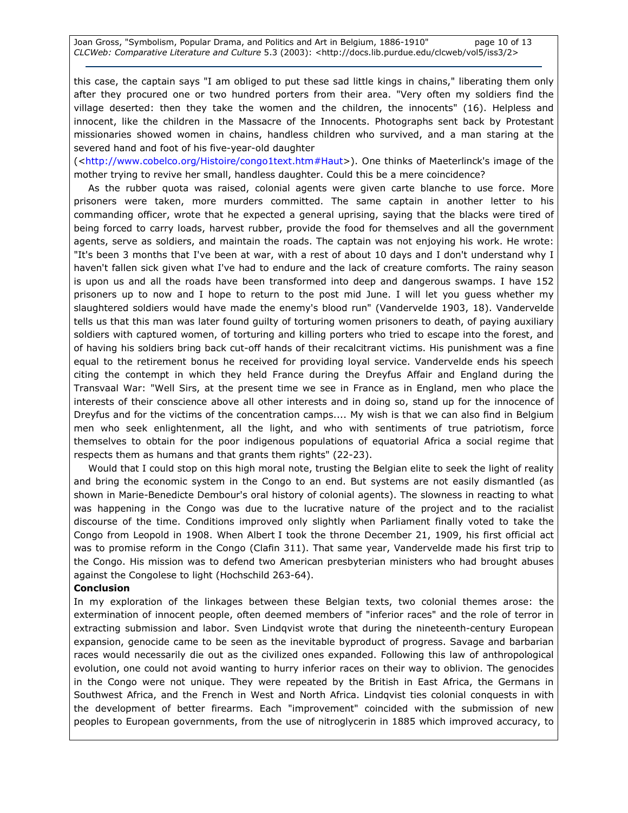this case, the captain says "I am obliged to put these sad little kings in chains," liberating them only after they procured one or two hundred porters from their area. "Very often my soldiers find the village deserted: then they take the women and the children, the innocents" (16). Helpless and innocent, like the children in the Massacre of the Innocents. Photographs sent back by Protestant missionaries showed women in chains, handless children who survived, and a man staring at the severed hand and foot of his five-year-old daughter

(<http://www.cobelco.org/Histoire/congo1text.htm#Haut>). One thinks of Maeterlinck's image of the mother trying to revive her small, handless daughter. Could this be a mere coincidence?

As the rubber quota was raised, colonial agents were given carte blanche to use force. More prisoners were taken, more murders committed. The same captain in another letter to his commanding officer, wrote that he expected a general uprising, saying that the blacks were tired of being forced to carry loads, harvest rubber, provide the food for themselves and all the government agents, serve as soldiers, and maintain the roads. The captain was not enjoying his work. He wrote: "It's been 3 months that I've been at war, with a rest of about 10 days and I don't understand why I haven't fallen sick given what I've had to endure and the lack of creature comforts. The rainy season is upon us and all the roads have been transformed into deep and dangerous swamps. I have 152 prisoners up to now and I hope to return to the post mid June. I will let you guess whether my slaughtered soldiers would have made the enemy's blood run" (Vandervelde 1903, 18). Vandervelde tells us that this man was later found guilty of torturing women prisoners to death, of paying auxiliary soldiers with captured women, of torturing and killing porters who tried to escape into the forest, and of having his soldiers bring back cut-off hands of their recalcitrant victims. His punishment was a fine equal to the retirement bonus he received for providing loyal service. Vandervelde ends his speech citing the contempt in which they held France during the Dreyfus Affair and England during the Transvaal War: "Well Sirs, at the present time we see in France as in England, men who place the interests of their conscience above all other interests and in doing so, stand up for the innocence of Dreyfus and for the victims of the concentration camps.... My wish is that we can also find in Belgium men who seek enlightenment, all the light, and who with sentiments of true patriotism, force themselves to obtain for the poor indigenous populations of equatorial Africa a social regime that respects them as humans and that grants them rights" (22-23).

Would that I could stop on this high moral note, trusting the Belgian elite to seek the light of reality and bring the economic system in the Congo to an end. But systems are not easily dismantled (as shown in Marie-Benedicte Dembour's oral history of colonial agents). The slowness in reacting to what was happening in the Congo was due to the lucrative nature of the project and to the racialist discourse of the time. Conditions improved only slightly when Parliament finally voted to take the Congo from Leopold in 1908. When Albert I took the throne December 21, 1909, his first official act was to promise reform in the Congo (Clafin 311). That same year, Vandervelde made his first trip to the Congo. His mission was to defend two American presbyterian ministers who had brought abuses against the Congolese to light (Hochschild 263-64).

#### Conclusion

In my exploration of the linkages between these Belgian texts, two colonial themes arose: the extermination of innocent people, often deemed members of "inferior races" and the role of terror in extracting submission and labor. Sven Lindqvist wrote that during the nineteenth-century European expansion, genocide came to be seen as the inevitable byproduct of progress. Savage and barbarian races would necessarily die out as the civilized ones expanded. Following this law of anthropological evolution, one could not avoid wanting to hurry inferior races on their way to oblivion. The genocides in the Congo were not unique. They were repeated by the British in East Africa, the Germans in Southwest Africa, and the French in West and North Africa. Lindqvist ties colonial conquests in with the development of better firearms. Each "improvement" coincided with the submission of new peoples to European governments, from the use of nitroglycerin in 1885 which improved accuracy, to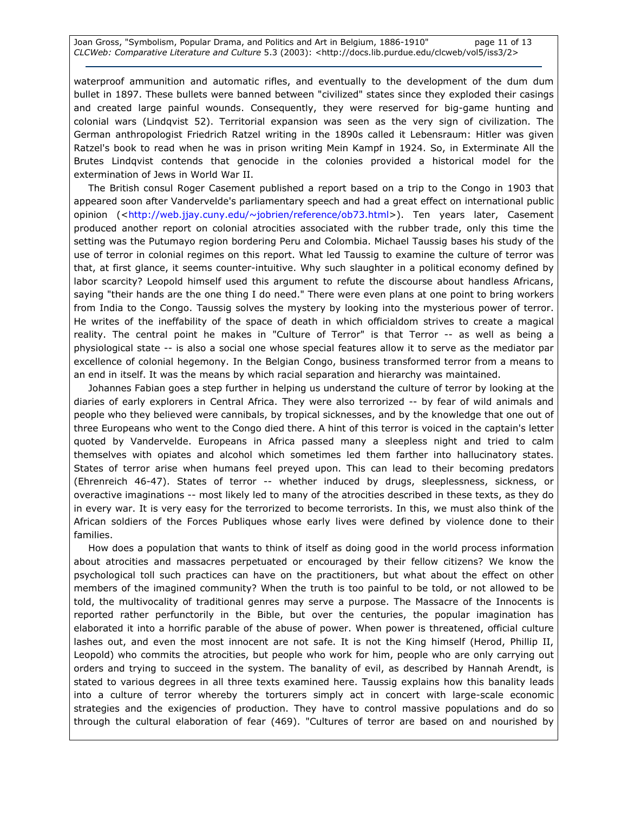waterproof ammunition and automatic rifles, and eventually to the development of the dum dum bullet in 1897. These bullets were banned between "civilized" states since they exploded their casings and created large painful wounds. Consequently, they were reserved for big-game hunting and colonial wars (Lindqvist 52). Territorial expansion was seen as the very sign of civilization. The German anthropologist Friedrich Ratzel writing in the 1890s called it Lebensraum: Hitler was given Ratzel's book to read when he was in prison writing Mein Kampf in 1924. So, in Exterminate All the Brutes Lindqvist contends that genocide in the colonies provided a historical model for the extermination of Jews in World War II.

The British consul Roger Casement published a report based on a trip to the Congo in 1903 that appeared soon after Vandervelde's parliamentary speech and had a great effect on international public opinion (<http://web.jjay.cuny.edu/~jobrien/reference/ob73.html>). Ten years later, Casement produced another report on colonial atrocities associated with the rubber trade, only this time the setting was the Putumayo region bordering Peru and Colombia. Michael Taussig bases his study of the use of terror in colonial regimes on this report. What led Taussig to examine the culture of terror was that, at first glance, it seems counter-intuitive. Why such slaughter in a political economy defined by labor scarcity? Leopold himself used this argument to refute the discourse about handless Africans, saying "their hands are the one thing I do need." There were even plans at one point to bring workers from India to the Congo. Taussig solves the mystery by looking into the mysterious power of terror. He writes of the ineffability of the space of death in which officialdom strives to create a magical reality. The central point he makes in "Culture of Terror" is that Terror -- as well as being a physiological state -- is also a social one whose special features allow it to serve as the mediator par excellence of colonial hegemony. In the Belgian Congo, business transformed terror from a means to an end in itself. It was the means by which racial separation and hierarchy was maintained.

Johannes Fabian goes a step further in helping us understand the culture of terror by looking at the diaries of early explorers in Central Africa. They were also terrorized -- by fear of wild animals and people who they believed were cannibals, by tropical sicknesses, and by the knowledge that one out of three Europeans who went to the Congo died there. A hint of this terror is voiced in the captain's letter quoted by Vandervelde. Europeans in Africa passed many a sleepless night and tried to calm themselves with opiates and alcohol which sometimes led them farther into hallucinatory states. States of terror arise when humans feel preyed upon. This can lead to their becoming predators (Ehrenreich 46-47). States of terror -- whether induced by drugs, sleeplessness, sickness, or overactive imaginations -- most likely led to many of the atrocities described in these texts, as they do in every war. It is very easy for the terrorized to become terrorists. In this, we must also think of the African soldiers of the Forces Publiques whose early lives were defined by violence done to their families.

How does a population that wants to think of itself as doing good in the world process information about atrocities and massacres perpetuated or encouraged by their fellow citizens? We know the psychological toll such practices can have on the practitioners, but what about the effect on other members of the imagined community? When the truth is too painful to be told, or not allowed to be told, the multivocality of traditional genres may serve a purpose. The Massacre of the Innocents is reported rather perfunctorily in the Bible, but over the centuries, the popular imagination has elaborated it into a horrific parable of the abuse of power. When power is threatened, official culture lashes out, and even the most innocent are not safe. It is not the King himself (Herod, Phillip II, Leopold) who commits the atrocities, but people who work for him, people who are only carrying out orders and trying to succeed in the system. The banality of evil, as described by Hannah Arendt, is stated to various degrees in all three texts examined here. Taussig explains how this banality leads into a culture of terror whereby the torturers simply act in concert with large-scale economic strategies and the exigencies of production. They have to control massive populations and do so through the cultural elaboration of fear (469). "Cultures of terror are based on and nourished by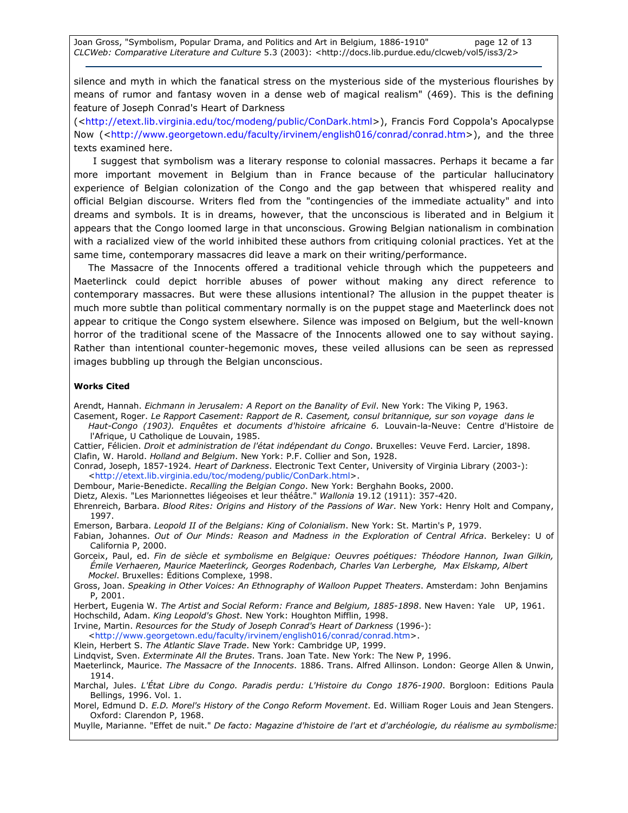silence and myth in which the fanatical stress on the mysterious side of the mysterious flourishes by means of rumor and fantasy woven in a dense web of magical realism" (469). This is the defining feature of Joseph Conrad's Heart of Darkness

(<http://etext.lib.virginia.edu/toc/modeng/public/ConDark.html>), Francis Ford Coppola's Apocalypse Now (<http://www.georgetown.edu/faculty/irvinem/english016/conrad/conrad.htm>), and the three texts examined here.

 I suggest that symbolism was a literary response to colonial massacres. Perhaps it became a far more important movement in Belgium than in France because of the particular hallucinatory experience of Belgian colonization of the Congo and the gap between that whispered reality and official Belgian discourse. Writers fled from the "contingencies of the immediate actuality" and into dreams and symbols. It is in dreams, however, that the unconscious is liberated and in Belgium it appears that the Congo loomed large in that unconscious. Growing Belgian nationalism in combination with a racialized view of the world inhibited these authors from critiquing colonial practices. Yet at the same time, contemporary massacres did leave a mark on their writing/performance.

The Massacre of the Innocents offered a traditional vehicle through which the puppeteers and Maeterlinck could depict horrible abuses of power without making any direct reference to contemporary massacres. But were these allusions intentional? The allusion in the puppet theater is much more subtle than political commentary normally is on the puppet stage and Maeterlinck does not appear to critique the Congo system elsewhere. Silence was imposed on Belgium, but the well-known horror of the traditional scene of the Massacre of the Innocents allowed one to say without saying. Rather than intentional counter-hegemonic moves, these veiled allusions can be seen as repressed images bubbling up through the Belgian unconscious.

#### Works Cited

Arendt, Hannah. Eichmann in Jerusalem: A Report on the Banality of Evil. New York: The Viking P, 1963.

- Casement, Roger. Le Rapport Casement: Rapport de R. Casement, consul britannique, sur son voyage dans le Haut-Congo (1903). Enquêtes et documents d'histoire africaine 6. Louvain-la-Neuve: Centre d'Histoire de l'Afrique, U Catholique de Louvain, 1985.
- Cattier, Félicien. Droit et administration de l'état indépendant du Congo. Bruxelles: Veuve Ferd. Larcier, 1898. Clafin, W. Harold. Holland and Belgium. New York: P.F. Collier and Son, 1928.
- Conrad, Joseph, 1857-1924. Heart of Darkness. Electronic Text Center, University of Virginia Library (2003-): <http://etext.lib.virginia.edu/toc/modeng/public/ConDark.html>.
- Dembour, Marie-Benedicte. Recalling the Belgian Congo. New York: Berghahn Books, 2000.
- Dietz, Alexis. "Les Marionnettes liégeoises et leur théâtre." Wallonia 19.12 (1911): 357-420.
- Ehrenreich, Barbara. Blood Rites: Origins and History of the Passions of War. New York: Henry Holt and Company, 1997.
- Emerson, Barbara. Leopold II of the Belgians: King of Colonialism. New York: St. Martin's P, 1979.
- Fabian, Johannes. Out of Our Minds: Reason and Madness in the Exploration of Central Africa. Berkeley: U of California P, 2000.
- Gorceix, Paul, ed. Fin de siècle et symbolisme en Belgique: Oeuvres poétiques: Théodore Hannon, Iwan Gilkin, Émile Verhaeren, Maurice Maeterlinck, Georges Rodenbach, Charles Van Lerberghe, Max Elskamp, Albert Mockel. Bruxelles: Éditions Complexe, 1998.
- Gross, Joan. Speaking in Other Voices: An Ethnography of Walloon Puppet Theaters. Amsterdam: John Benjamins P, 2001.
- Herbert, Eugenia W. The Artist and Social Reform: France and Belgium, 1885-1898. New Haven: Yale UP, 1961. Hochschild, Adam. King Leopold's Ghost. New York: Houghton Mifflin, 1998.
- Irvine, Martin. Resources for the Study of Joseph Conrad's Heart of Darkness (1996-):
- <http://www.georgetown.edu/faculty/irvinem/english016/conrad/conrad.htm>.
- Klein, Herbert S. The Atlantic Slave Trade. New York: Cambridge UP, 1999.
- Lindqvist, Sven. Exterminate All the Brutes. Trans. Joan Tate. New York: The New P, 1996.
- Maeterlinck, Maurice. The Massacre of the Innocents. 1886. Trans. Alfred Allinson. London: George Allen & Unwin, 1914.
- Marchal, Jules. L'État Libre du Congo. Paradis perdu: L'Histoire du Congo 1876-1900. Borgloon: Editions Paula Bellings, 1996. Vol. 1.
- Morel, Edmund D. E.D. Morel's History of the Congo Reform Movement. Ed. William Roger Louis and Jean Stengers. Oxford: Clarendon P, 1968.
- Muylle, Marianne. "Effet de nuit." De facto: Magazine d'histoire de l'art et d'archéologie, du réalisme au symbolisme: